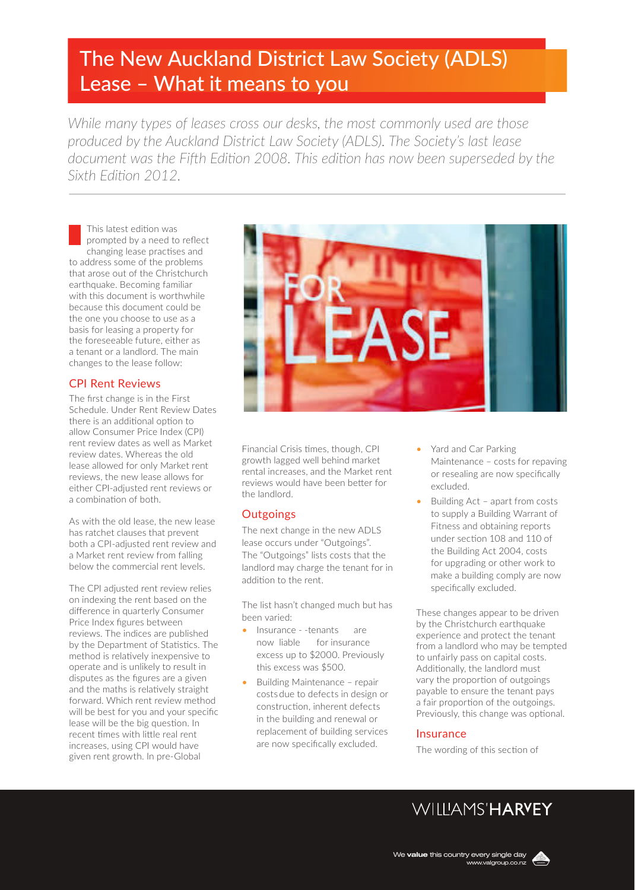# The New Auckland District Law Society (ADLS) Lease – What it means to you

*While many types of leases cross our desks, the most commonly used are those produced by the Auckland District Law Society (ADLS). The Society's last lease document was the Fifth Edition 2008. This edition has now been superseded by the Sixth Edition 2012.* 

This latest edition was prompted by a need to reflect changing lease practises and to address some of the problems that arose out of the Christchurch earthquake. Becoming familiar with this document is worthwhile because this document could be the one you choose to use as a basis for leasing a property for the foreseeable future, either as a tenant or a landlord. The main changes to the lease follow:

# CPI Rent Reviews

The first change is in the First Schedule. Under Rent Review Dates there is an additional option to allow Consumer Price Index (CPI) rent review dates as well as Market review dates. Whereas the old lease allowed for only Market rent reviews, the new lease allows for either CPI-adjusted rent reviews or a combination of both.

As with the old lease, the new lease has ratchet clauses that prevent both a CPI-adjusted rent review and a Market rent review from falling below the commercial rent levels.

The CPI adjusted rent review relies on indexing the rent based on the difference in quarterly Consumer Price Index figures between reviews. The indices are published by the Department of Statistics. The method is relatively inexpensive to operate and is unlikely to result in disputes as the figures are a given and the maths is relatively straight forward. Which rent review method will be best for you and your specific lease will be the big question. In recent times with little real rent increases, using CPI would have given rent growth. In pre-Global



Financial Crisis times, though, CPI growth lagged well behind market rental increases, and the Market rent reviews would have been better for the landlord.

# **Outgoings**

The next change in the new ADLS lease occurs under "Outgoings". The "Outgoings" lists costs that the landlord may charge the tenant for in addition to the rent.

The list hasn't changed much but has been varied:

- Insurance -tenants are now liable for insurance excess up to \$2000. Previously this excess was \$500.
- Building Maintenance repair costsdue to defects in design or construction, inherent defects in the building and renewal or replacement of building services are now specifically excluded.
- Yard and Car Parking Maintenance – costs for repaving or resealing are now specifically excluded.
- Building Act apart from costs to supply a Building Warrant of Fitness and obtaining reports under section 108 and 110 of the Building Act 2004, costs for upgrading or other work to make a building comply are now specifically excluded.

These changes appear to be driven by the Christchurch earthquake experience and protect the tenant from a landlord who may be tempted to unfairly pass on capital costs. Additionally, the landlord must vary the proportion of outgoings payable to ensure the tenant pays a fair proportion of the outgoings. Previously, this change was optional.

## Insurance

The wording of this section of

**WILLAMS'HARVEY**